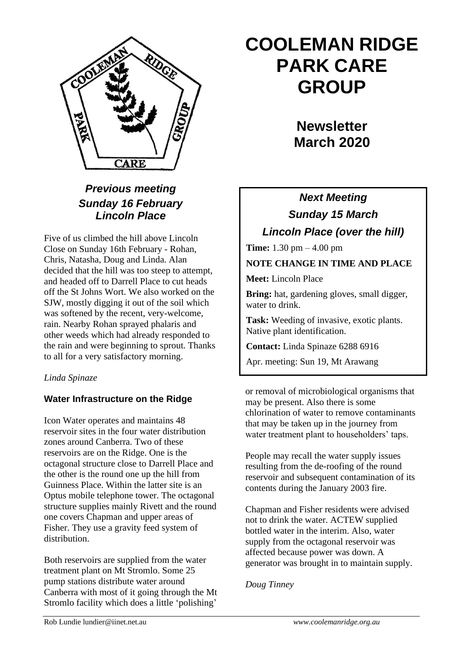

# *Previous meeting Sunday 16 February Lincoln Place*

Five of us climbed the hill above Lincoln Close on Sunday 16th February - Rohan, Chris, Natasha, Doug and Linda. Alan decided that the hill was too steep to attempt, and headed off to Darrell Place to cut heads off the St Johns Wort. We also worked on the SJW, mostly digging it out of the soil which was softened by the recent, very-welcome, rain. Nearby Rohan sprayed phalaris and other weeds which had already responded to the rain and were beginning to sprout. Thanks to all for a very satisfactory morning.

#### *Linda Spinaze*

# **Water Infrastructure on the Ridge**

Icon Water operates and maintains 48 reservoir sites in the four water distribution zones around Canberra. Two of these reservoirs are on the Ridge. One is the octagonal structure close to Darrell Place and the other is the round one up the hill from Guinness Place. Within the latter site is an Optus mobile telephone tower. The octagonal structure supplies mainly Rivett and the round one covers Chapman and upper areas of Fisher. They use a gravity feed system of distribution.

Both reservoirs are supplied from the water treatment plant on Mt Stromlo. Some 25 pump stations distribute water around Canberra with most of it going through the Mt Stromlo facility which does a little 'polishing'

# **COOLEMAN RIDGE PARK CARE GROUP**

**Newsletter March 2020** 

# *Next Meeting Sunday 15 March Lincoln Place (over the hill)*

**Time:** 1.30 pm – 4.00 pm

#### **NOTE CHANGE IN TIME AND PLACE**

**Meet:** Lincoln Place

**Bring:** hat, gardening gloves, small digger, water to drink.

**Task:** Weeding of invasive, exotic plants. Native plant identification.

**Contact:** Linda Spinaze 6288 6916

Apr. meeting: Sun 19, Mt Arawang

or removal of microbiological organisms that may be present. Also there is some chlorination of water to remove contaminants that may be taken up in the journey from water treatment plant to householders' taps.

People may recall the water supply issues resulting from the de-roofing of the round reservoir and subsequent contamination of its contents during the January 2003 fire.

Chapman and Fisher residents were advised not to drink the water. ACTEW supplied bottled water in the interim. Also, water supply from the octagonal reservoir was affected because power was down. A generator was brought in to maintain supply.

# *Doug Tinney*